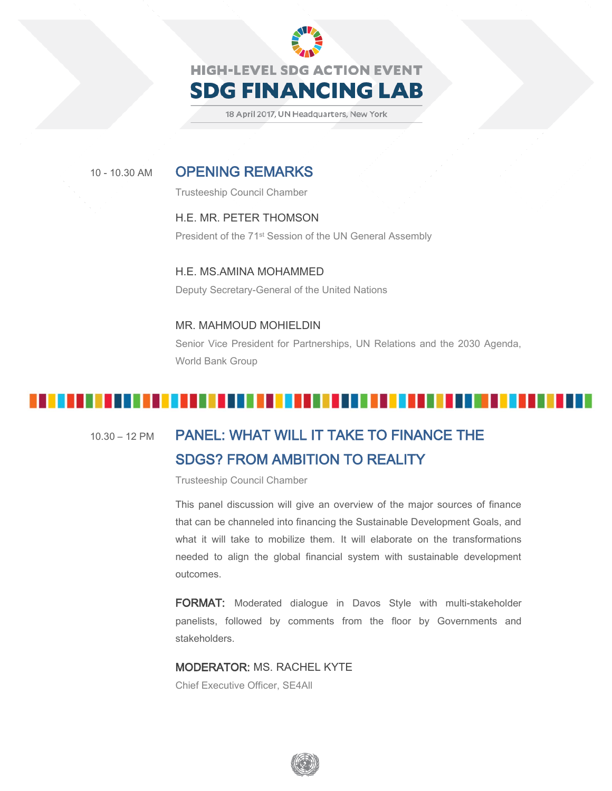

18 April 2017, UN Headquarters, New York

### <sup>10</sup> - 10.30 AM OPENING REMARKS

Trusteeship Council Chamber

#### H.E. MR. PETER THOMSON President of the 71st Session of the UN General Assembly

H.E. MS.AMINA MOHAMMED Deputy Secretary-General of the United Nations

### MR. MAHMOUD MOHIELDIN Senior Vice President for Partnerships, UN Relations and the 2030 Agenda, World Bank Group

#### . . . . .

### 10.30 – 12 PM PANEL: WHAT WILL IT TAKE TO FINANCE THE SDGS? FROM AMBITION TO REALITY

Trusteeship Council Chamber

This panel discussion will give an overview of the major sources of finance that can be channeled into financing the Sustainable Development Goals, and what it will take to mobilize them. It will elaborate on the transformations needed to align the global financial system with sustainable development outcomes.

FORMAT: Moderated dialogue in Davos Style with multi-stakeholder panelists, followed by comments from the floor by Governments and stakeholders.

#### MODERATOR: MS. RACHEL KYTE

Chief Executive Officer, SE4All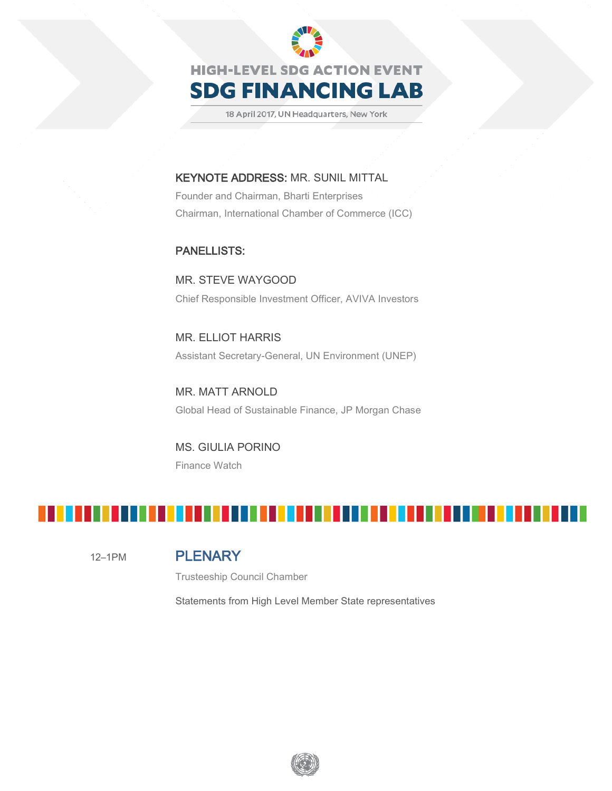

18 April 2017, UN Headquarters, New York

#### KEYNOTE ADDRESS: MR. SUNIL MITTAL

Founder and Chairman, Bharti Enterprises Chairman, International Chamber of Commerce (ICC)

#### PANELLISTS:

MR. STEVE WAYGOOD Chief Responsible Investment Officer, AVIVA Investors

MR. ELLIOT HARRIS Assistant Secretary-General, UN Environment (UNEP)

MR. MATT ARNOLD Global Head of Sustainable Finance, JP Morgan Chase

MS. GIULIA PORINO Finance Watch



#### 12–1PM PLENARY

Trusteeship Council Chamber

Statements from High Level Member State representatives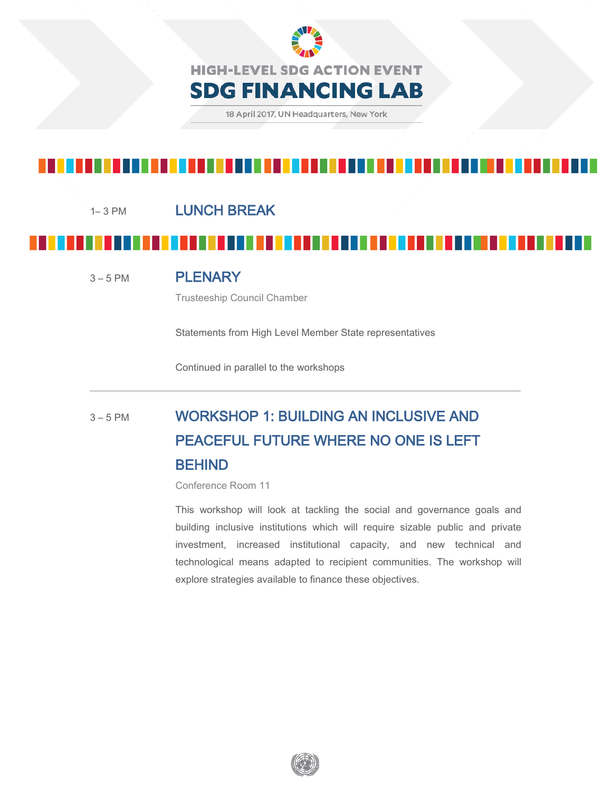

#### 1–3 PM LUNCH BREAK

<sup>3</sup>– <sup>5</sup> PM PLENARY

Trusteeship Council Chamber

Statements from High Level Member State representatives

Continued in parallel to the workshops

# 3-5 PM WORKSHOP 1: BUILDING AN INCLUSIVE AND PEACEFUL FUTURE WHERE NO ONE IS LEFT BEHIND

Conference Room 11

This workshop will look at tackling the social and governance goals and building inclusive institutions which will require sizable public and private investment, increased institutional capacity, and new technical and technological means adapted to recipient communities. The workshop will explore strategies available to finance these objectives.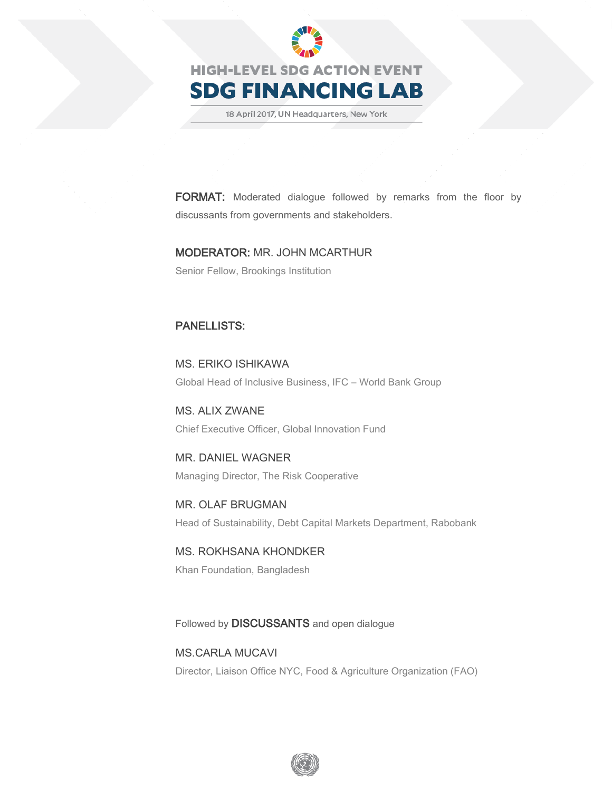

18 April 2017, UN Headquarters, New York

FORMAT: Moderated dialogue followed by remarks from the floor by discussants from governments and stakeholders.

#### MODERATOR: MR. JOHN MCARTHUR

Senior Fellow, Brookings Institution

#### PANELLISTS:

MS. ERIKO ISHIKAWA Global Head of Inclusive Business, IFC – World Bank Group

MS. ALIX ZWANE Chief Executive Officer, Global Innovation Fund

MR. DANIEL WAGNER Managing Director, The Risk Cooperative

MR. OLAF BRUGMAN Head of Sustainability, Debt Capital Markets Department, Rabobank

MS. ROKHSANA KHONDKER Khan Foundation, Bangladesh

Followed by DISCUSSANTS and open dialogue

MS.CARLA MUCAVI Director, Liaison Office NYC, Food & Agriculture Organization (FAO)

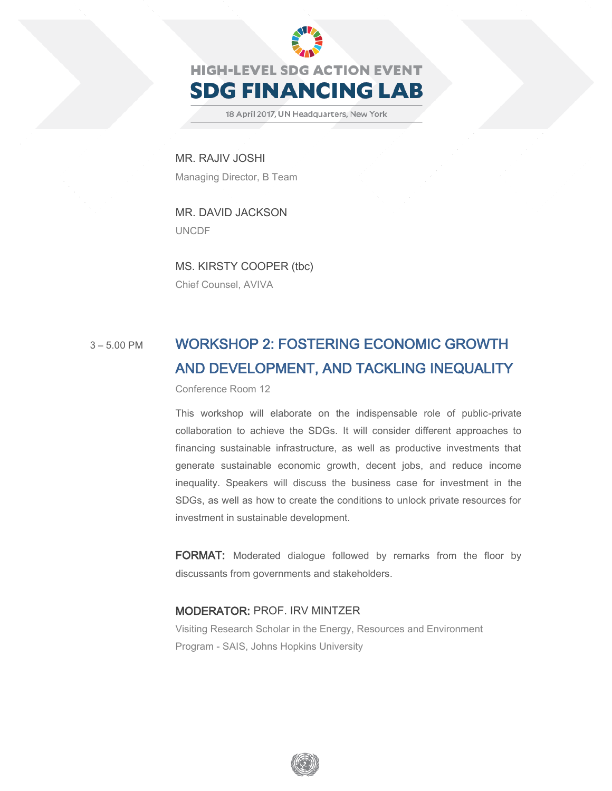

18 April 2017, UN Headquarters, New York

MR. RAJIV JOSHI Managing Director, B Team

MR. DAVID JACKSON UNCDF

MS. KIRSTY COOPER (tbc) Chief Counsel, AVIVA

## 3-5.00 PM WORKSHOP 2: FOSTERING ECONOMIC GROWTH AND DEVELOPMENT, AND TACKLING INEQUALITY

Conference Room 12

This workshop will elaborate on the indispensable role of public-private collaboration to achieve the SDGs. It will consider different approaches to financing sustainable infrastructure, as well as productive investments that generate sustainable economic growth, decent jobs, and reduce income inequality. Speakers will discuss the business case for investment in the SDGs, as well as how to create the conditions to unlock private resources for investment in sustainable development.

FORMAT: Moderated dialogue followed by remarks from the floor by discussants from governments and stakeholders.

#### MODERATOR: PROF. IRV MINTZER

Visiting Research Scholar in the Energy, Resources and Environment Program - SAIS, Johns Hopkins University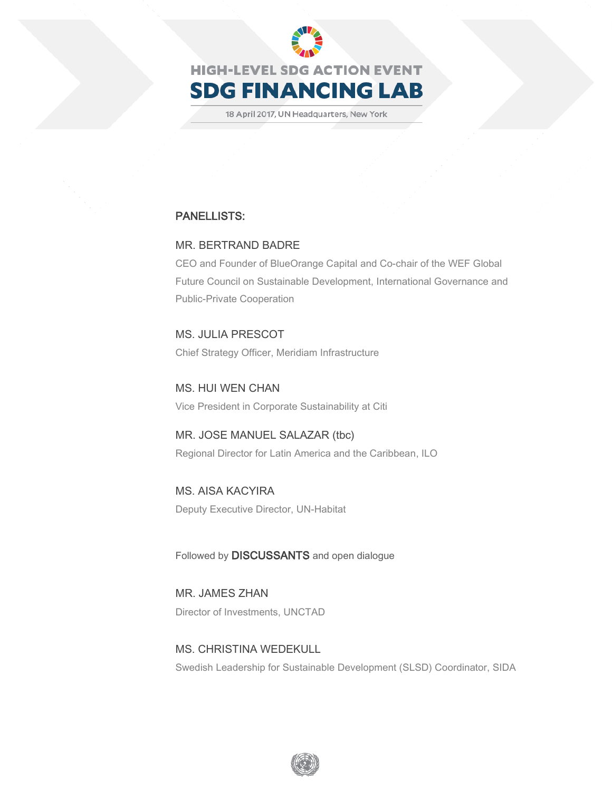

**SDG FINANCING LAB** 

18 April 2017, UN Headquarters, New York

#### PANELLISTS:

#### MR. BERTRAND BADRE

CEO and Founder of BlueOrange Capital and Co-chair of the WEF Global Future Council on Sustainable Development, International Governance and Public-Private Cooperation

MS. JULIA PRESCOT Chief Strategy Officer, Meridiam Infrastructure

MS. HUI WEN CHAN Vice President in Corporate Sustainability at Citi

MR. JOSE MANUEL SALAZAR (tbc) Regional Director for Latin America and the Caribbean, ILO

MS. AISA KACYIRA Deputy Executive Director, UN-Habitat

Followed by DISCUSSANTS and open dialogue

MR. JAMES ZHAN Director of Investments, UNCTAD

MS. CHRISTINA WEDEKULL Swedish Leadership for Sustainable Development (SLSD) Coordinator, SIDA

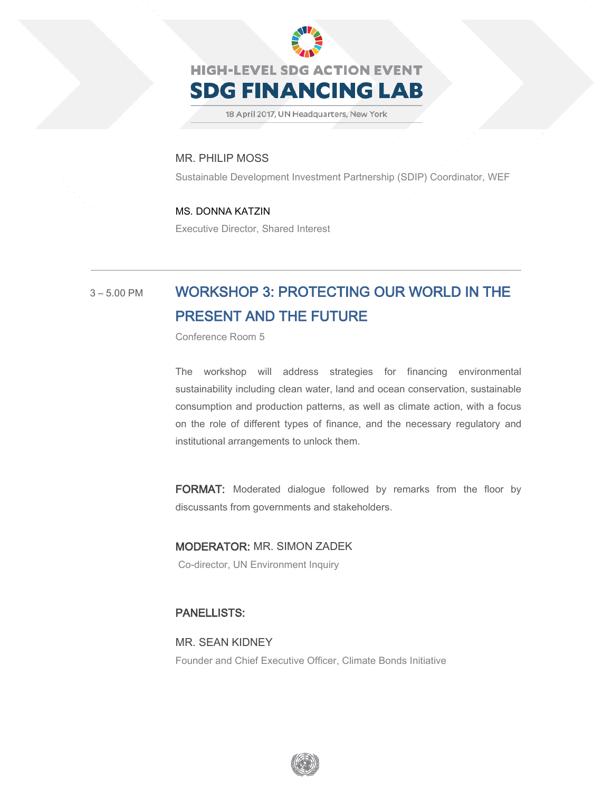

18 April 2017, UN Headquarters, New York

#### MR. PHILIP MOSS

Sustainable Development Investment Partnership (SDIP) Coordinator, WEF

#### MS. DONNA KATZIN

Executive Director, Shared Interest

### 3-5.00 PM WORKSHOP 3: PROTECTING OUR WORLD IN THE PRESENT AND THE FUTURE

Conference Room 5

The workshop will address strategies for financing environmental sustainability including clean water, land and ocean conservation, sustainable consumption and production patterns, as well as climate action, with a focus on the role of different types of finance, and the necessary regulatory and institutional arrangements to unlock them.

FORMAT: Moderated dialogue followed by remarks from the floor by discussants from governments and stakeholders.

MODERATOR: MR. SIMON ZADEK Co-director, UN Environment Inquiry

#### PANELLISTS:

MR. SEAN KIDNEY Founder and Chief Executive Officer, Climate Bonds Initiative

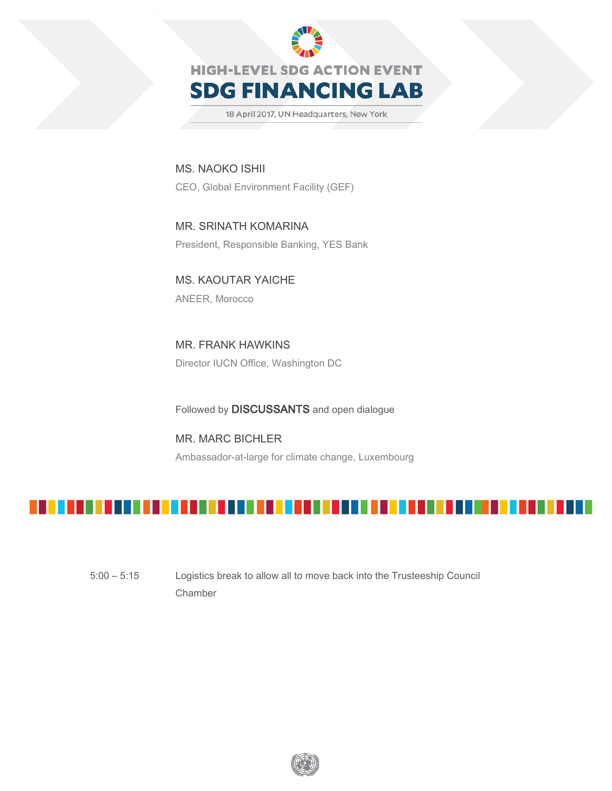

18 April 2017, UN Headquarters, New York

MS. NAOKO ISHII CEO, Global Environment Facility (GEF)

MR. SRINATH KOMARINA President, Responsible Banking, YES Bank

MS. KAOUTAR YAICHE ANEER, Morocco

MR. FRANK HAWKINS Director IUCN Office, Washington DC

Followed by DISCUSSANTS and open dialogue

MR. MARC BICHLER Ambassador-at-large for climate change, Luxembourg



5:00 – 5:15 Logistics break to allow all to move back into the Trusteeship Council Chamber